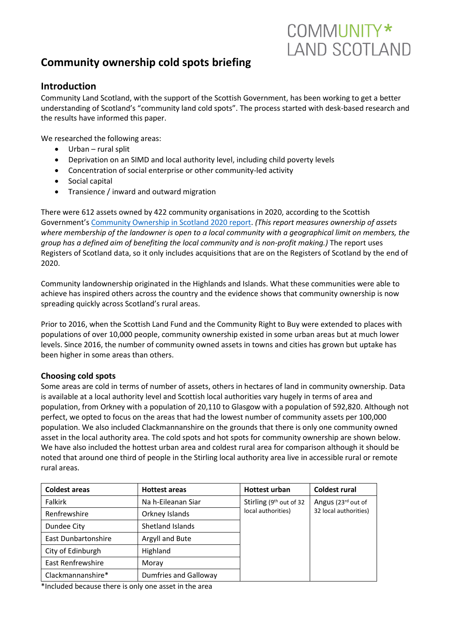# **Community ownership cold spots briefing**

# **Introduction**

Community Land Scotland, with the support of the Scottish Government, has been working to get a better understanding of Scotland's "community land cold spots". The process started with desk-based research and the results have informed this paper.

COMMUNITY\*

**LAND SCOTLAND** 

We researched the following areas:

- Urban rural split
- Deprivation on an SIMD and local authority level, including child poverty levels
- Concentration of social enterprise or other community-led activity
- Social capital
- Transience / inward and outward migration

There were 612 assets owned by 422 community organisations in 2020, according to the Scottish Government's [Community Ownership in Scotland 2020 report.](https://www.gov.scot/publications/community-ownership-scotland-2020/) *(This report measures ownership of assets where membership of the landowner is open to a local community with a geographical limit on members, the group has a defined aim of benefiting the local community and is non-profit making.)* The report uses Registers of Scotland data, so it only includes acquisitions that are on the Registers of Scotland by the end of 2020.

Community landownership originated in the Highlands and Islands. What these communities were able to achieve has inspired others across the country and the evidence shows that community ownership is now spreading quickly across Scotland's rural areas.

Prior to 2016, when the Scottish Land Fund and the Community Right to Buy were extended to places with populations of over 10,000 people, community ownership existed in some urban areas but at much lower levels. Since 2016, the number of community owned assets in towns and cities has grown but uptake has been higher in some areas than others.

#### **Choosing cold spots**

Some areas are cold in terms of number of assets, others in hectares of land in community ownership. Data is available at a local authority level and Scottish local authorities vary hugely in terms of area and population, from Orkney with a population of 20,110 to Glasgow with a population of 592,820. Although not perfect, we opted to focus on the areas that had the lowest number of community assets per 100,000 population. We also included Clackmannanshire on the grounds that there is only one community owned asset in the local authority area. The cold spots and hot spots for community ownership are shown below. We have also included the hottest urban area and coldest rural area for comparison although it should be noted that around one third of people in the Stirling local authority area live in accessible rural or remote rural areas.

| <b>Coldest areas</b>       | <b>Hottest areas</b>         | <b>Hottest urban</b>                          | <b>Coldest rural</b>                        |
|----------------------------|------------------------------|-----------------------------------------------|---------------------------------------------|
| <b>Falkirk</b>             | Na h-Eileanan Siar           | Stirling (9th out of 32<br>local authorities) | Angus (23rd out of<br>32 local authorities) |
| Renfrewshire               | Orkney Islands               |                                               |                                             |
| Dundee City                | Shetland Islands             |                                               |                                             |
| <b>East Dunbartonshire</b> | Argyll and Bute              |                                               |                                             |
| City of Edinburgh          | Highland                     |                                               |                                             |
| East Renfrewshire          | Moray                        |                                               |                                             |
| Clackmannanshire*          | <b>Dumfries and Galloway</b> |                                               |                                             |

\*Included because there is only one asset in the area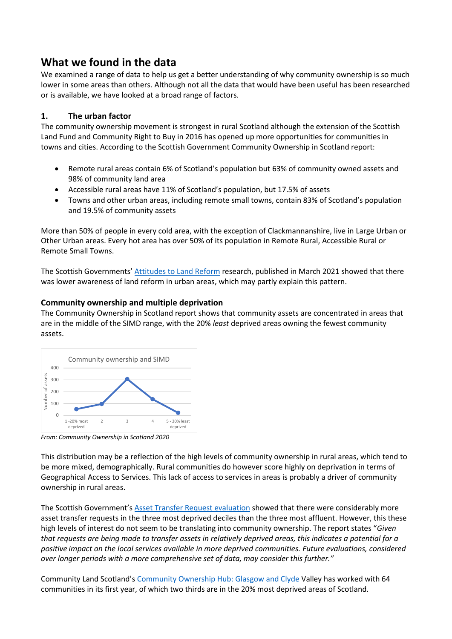# **What we found in the data**

We examined a range of data to help us get a better understanding of why community ownership is so much lower in some areas than others. Although not all the data that would have been useful has been researched or is available, we have looked at a broad range of factors.

## **1. The urban factor**

The community ownership movement is strongest in rural Scotland although the extension of the Scottish Land Fund and Community Right to Buy in 2016 has opened up more opportunities for communities in towns and cities. According to the Scottish Government Community Ownership in Scotland report:

- Remote rural areas contain 6% of Scotland's population but 63% of community owned assets and 98% of community land area
- Accessible rural areas have 11% of Scotland's population, but 17.5% of assets
- Towns and other urban areas, including remote small towns, contain 83% of Scotland's population and 19.5% of community assets

More than 50% of people in every cold area, with the exception of Clackmannanshire, live in Large Urban or Other Urban areas. Every hot area has over 50% of its population in Remote Rural, Accessible Rural or Remote Small Towns.

The Scottish Governments' [Attitudes to Land Reform](https://www.gov.scot/binaries/content/documents/govscot/publications/research-and-analysis/2021/03/attitudes-land-reform/documents/attitudes-land-reform/attitudes-land-reform/govscot%3Adocument/attitudes-land-reform.pdf) research, published in March 2021 showed that there was lower awareness of land reform in urban areas, which may partly explain this pattern.

### **Community ownership and multiple deprivation**

The Community Ownership in Scotland report shows that community assets are concentrated in areas that are in the middle of the SIMD range, with the 20% *least* deprived areas owning the fewest community assets.



*From: Community Ownership in Scotland 2020*

This distribution may be a reflection of the high levels of community ownership in rural areas, which tend to be more mixed, demographically. Rural communities do however score highly on deprivation in terms of Geographical Access to Services. This lack of access to services in areas is probably a driver of community ownership in rural areas.

The Scottish Government's [Asset Transfer Request evaluation](https://www.gov.scot/binaries/content/documents/govscot/publications/research-and-analysis/2020/07/asset-transfer-requests-evaluation-part-5-community-empowerment-scotland-act-2015/documents/asset-transfer-requests-evaluation-part-5-community-empowerment-scotland-act-2015/asset-transfer-requests-evaluation-part-5-community-empowerment-scotland-act-2015/govscot%3Adocument/asset-transfer-requests-evaluation-part-5-community-empowerment-scotland-act-2015.pdf) showed that there were considerably more asset transfer requests in the three most deprived deciles than the three most affluent. However, this these high levels of interest do not seem to be translating into community ownership. The report states "*Given that requests are being made to transfer assets in relatively deprived areas, this indicates a potential for a positive impact on the local services available in more deprived communities. Future evaluations, considered over longer periods with a more comprehensive set of data, may consider this further."*

Community Land Scotland's [Community Ownership Hub: Glasgow and Clyde](file:///C:/Users/44788/Desktop/filing%202022/Community%20Ownership%20Hub:%20Glasgow%20and%20Clyde) Valley has worked with 64 communities in its first year, of which two thirds are in the 20% most deprived areas of Scotland.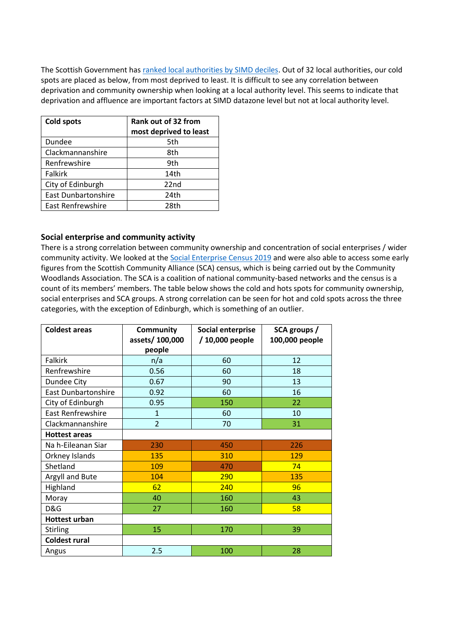The Scottish Government has ranked [local authorities by SIMD deciles.](https://datamap-scotland.co.uk/2020/03/areas-deprivation-scotland-councils/) Out of 32 local authorities, our cold spots are placed as below, from most deprived to least. It is difficult to see any correlation between deprivation and community ownership when looking at a local authority level. This seems to indicate that deprivation and affluence are important factors at SIMD datazone level but not at local authority level.

| <b>Cold spots</b>          | Rank out of 32 from<br>most deprived to least |  |
|----------------------------|-----------------------------------------------|--|
| Dundee                     | 5th                                           |  |
| Clackmannanshire           | 8th                                           |  |
| Renfrewshire               | 9th                                           |  |
| <b>Falkirk</b>             | 14th                                          |  |
| City of Edinburgh          | 22 <sub>nd</sub>                              |  |
| <b>East Dunbartonshire</b> | 24th                                          |  |
| <b>East Renfrewshire</b>   | 28th                                          |  |

### **Social enterprise and community activity**

There is a strong correlation between community ownership and concentration of social enterprises / wider community activity. We looked at the [Social Enterprise Census 2019](https://socialenterprisecensus.org.uk/) and were also able to access some early figures from the Scottish Community Alliance (SCA) census, which is being carried out by the Community Woodlands Association. The SCA is a coalition of national community-based networks and the census is a count of its members' members. The table below shows the cold and hots spots for community ownership, social enterprises and SCA groups. A strong correlation can be seen for hot and cold spots across the three categories, with the exception of Edinburgh, which is something of an outlier.

| <b>Coldest areas</b>       | <b>Community</b> | Social enterprise | SCA groups /   |
|----------------------------|------------------|-------------------|----------------|
|                            | assets/100,000   | / 10,000 people   | 100,000 people |
|                            | people           |                   |                |
| <b>Falkirk</b>             | n/a              | 60                | 12             |
| Renfrewshire               | 0.56             | 60                | 18             |
| Dundee City                | 0.67             | 90                | 13             |
| <b>East Dunbartonshire</b> | 0.92             | 60                | 16             |
| City of Edinburgh          | 0.95             | 150               | 22             |
| East Renfrewshire          | $\mathbf{1}$     | 60                | 10             |
| Clackmannanshire           | $\overline{2}$   | 70                | 31             |
| <b>Hottest areas</b>       |                  |                   |                |
| Na h-Eileanan Siar         | 230              | 450               | 226            |
| Orkney Islands             | 135              | 310               | 129            |
| Shetland                   | 109              | 470               | 74             |
| Argyll and Bute            | 104              | 290               | 135            |
| Highland                   | 62               | 240               | 96             |
| Moray                      | 40               | 160               | 43             |
| D&G                        | 27               | 160               | 58             |
| <b>Hottest urban</b>       |                  |                   |                |
| <b>Stirling</b>            | 15               | 170               | 39             |
| <b>Coldest rural</b>       |                  |                   |                |
| Angus                      | 2.5              | 100               | 28             |